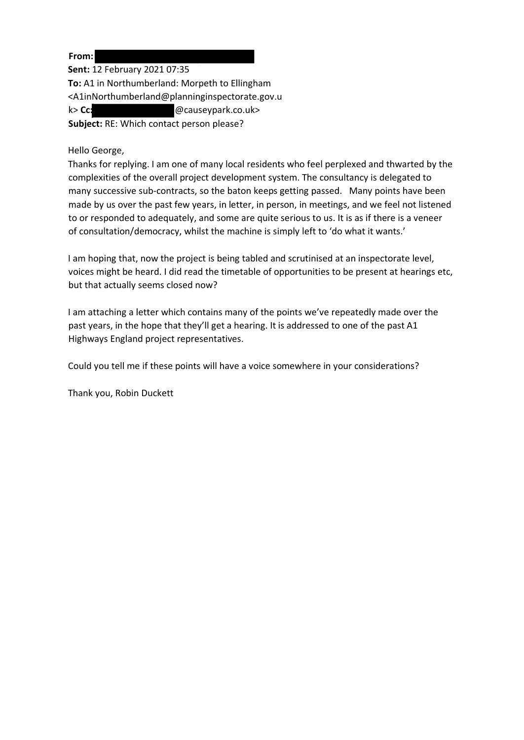**From:**

**Sent:** 12 February 2021 07:35 **To:** A1 in Northumberland: Morpeth to Ellingham <A1inNorthumberland@planninginspectorate.gov.u k> **Cc:** @causeypark.co.uk> **Subject:** RE: Which contact person please?

# Hello George,

Thanks for replying. I am one of many local residents who feel perplexed and thwarted by the complexities of the overall project development system. The consultancy is delegated to many successive sub-contracts, so the baton keeps getting passed. Many points have been made by us over the past few years, in letter, in person, in meetings, and we feel not listened to or responded to adequately, and some are quite serious to us. It is as if there is a veneer of consultation/democracy, whilst the machine is simply left to 'do what it wants.'

I am hoping that, now the project is being tabled and scrutinised at an inspectorate level, voices might be heard. I did read the timetable of opportunities to be present at hearings etc, but that actually seems closed now?

I am attaching a letter which contains many of the points we've repeatedly made over the past years, in the hope that they'll get a hearing. It is addressed to one of the past A1 Highways England project representatives.

Could you tell me if these points will have a voice somewhere in your considerations?

Thank you, Robin Duckett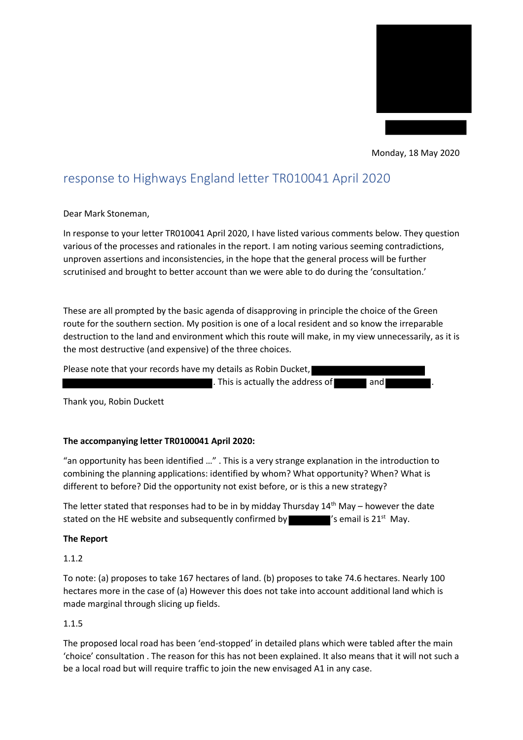

Monday, 18 May 2020

# response to Highways England letter TR010041 April 2020

Dear Mark Stoneman,

In response to your letter TR010041 April 2020, I have listed various comments below. They question various of the processes and rationales in the report. I am noting various seeming contradictions, unproven assertions and inconsistencies, in the hope that the general process will be further scrutinised and brought to better account than we were able to do during the 'consultation.'

These are all prompted by the basic agenda of disapproving in principle the choice of the Green route for the southern section. My position is one of a local resident and so know the irreparable destruction to the land and environment which this route will make, in my view unnecessarily, as it is the most destructive (and expensive) of the three choices.

Please note that your records have my details as Robin Ducket,

 $\blacksquare$ . This is actually the address of  $\blacksquare$  and .

Thank you, Robin Duckett

## **The accompanying letter TR0100041 April 2020:**

"an opportunity has been identified …" . This is a very strange explanation in the introduction to combining the planning applications: identified by whom? What opportunity? When? What is different to before? Did the opportunity not exist before, or is this a new strategy?

The letter stated that responses had to be in by midday Thursday  $14<sup>th</sup>$  May – however the date stated on the HE website and subsequently confirmed by  $\blacksquare'$  's email is 21<sup>st</sup> May.

## **The Report**

1.1.2

To note: (a) proposes to take 167 hectares of land. (b) proposes to take 74.6 hectares. Nearly 100 hectares more in the case of (a) However this does not take into account additional land which is made marginal through slicing up fields.

## 1.1.5

The proposed local road has been 'end-stopped' in detailed plans which were tabled after the main 'choice' consultation . The reason for this has not been explained. It also means that it will not such a be a local road but will require traffic to join the new envisaged A1 in any case.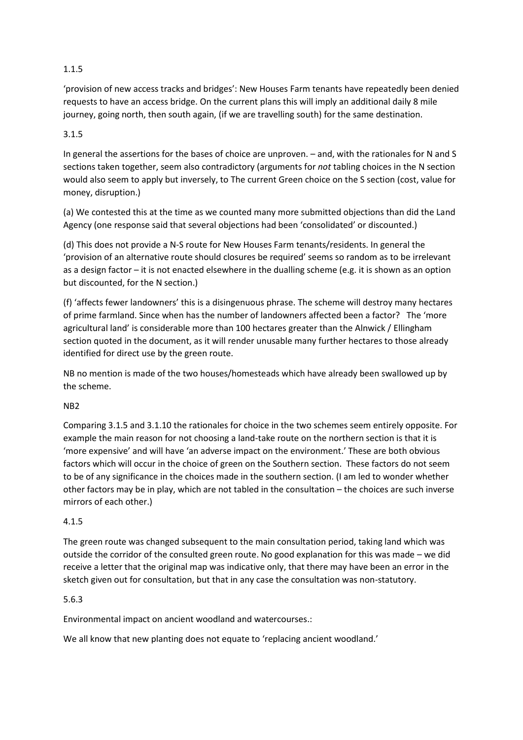# 1.1.5

'provision of new access tracks and bridges': New Houses Farm tenants have repeatedly been denied requests to have an access bridge. On the current plans this will imply an additional daily 8 mile journey, going north, then south again, (if we are travelling south) for the same destination.

# 3.1.5

In general the assertions for the bases of choice are unproven. – and, with the rationales for N and S sections taken together, seem also contradictory (arguments for *not* tabling choices in the N section would also seem to apply but inversely, to The current Green choice on the S section (cost, value for money, disruption.)

(a) We contested this at the time as we counted many more submitted objections than did the Land Agency (one response said that several objections had been 'consolidated' or discounted.)

(d) This does not provide a N-S route for New Houses Farm tenants/residents. In general the 'provision of an alternative route should closures be required' seems so random as to be irrelevant as a design factor – it is not enacted elsewhere in the dualling scheme (e.g. it is shown as an option but discounted, for the N section.)

(f) 'affects fewer landowners' this is a disingenuous phrase. The scheme will destroy many hectares of prime farmland. Since when has the number of landowners affected been a factor? The 'more agricultural land' is considerable more than 100 hectares greater than the Alnwick / Ellingham section quoted in the document, as it will render unusable many further hectares to those already identified for direct use by the green route.

NB no mention is made of the two houses/homesteads which have already been swallowed up by the scheme.

# NB2

Comparing 3.1.5 and 3.1.10 the rationales for choice in the two schemes seem entirely opposite. For example the main reason for not choosing a land-take route on the northern section is that it is 'more expensive' and will have 'an adverse impact on the environment.' These are both obvious factors which will occur in the choice of green on the Southern section. These factors do not seem to be of any significance in the choices made in the southern section. (I am led to wonder whether other factors may be in play, which are not tabled in the consultation – the choices are such inverse mirrors of each other.)

# 4.1.5

The green route was changed subsequent to the main consultation period, taking land which was outside the corridor of the consulted green route. No good explanation for this was made – we did receive a letter that the original map was indicative only, that there may have been an error in the sketch given out for consultation, but that in any case the consultation was non-statutory.

# 5.6.3

Environmental impact on ancient woodland and watercourses.:

We all know that new planting does not equate to 'replacing ancient woodland.'